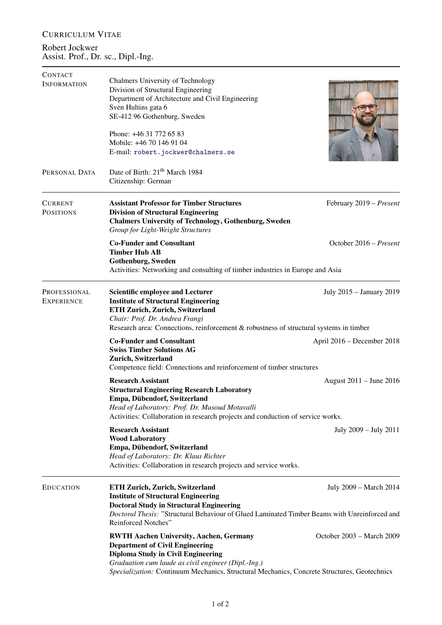## CURRICULUM VITAE

Robert Jockwer Assist. Prof., Dr. sc., Dipl.-Ing.

| Chalmers University of Technology                                                                                                                                                                  |                                                                                                                                                                                                                                                                                                                                                                                                                                                                                       |  |
|----------------------------------------------------------------------------------------------------------------------------------------------------------------------------------------------------|---------------------------------------------------------------------------------------------------------------------------------------------------------------------------------------------------------------------------------------------------------------------------------------------------------------------------------------------------------------------------------------------------------------------------------------------------------------------------------------|--|
| Department of Architecture and Civil Engineering                                                                                                                                                   |                                                                                                                                                                                                                                                                                                                                                                                                                                                                                       |  |
| Sven Hultins gata 6                                                                                                                                                                                |                                                                                                                                                                                                                                                                                                                                                                                                                                                                                       |  |
| SE-412 96 Gothenburg, Sweden                                                                                                                                                                       |                                                                                                                                                                                                                                                                                                                                                                                                                                                                                       |  |
| Phone: +46 31 772 65 83                                                                                                                                                                            |                                                                                                                                                                                                                                                                                                                                                                                                                                                                                       |  |
| Mobile: +46 70 146 91 04                                                                                                                                                                           |                                                                                                                                                                                                                                                                                                                                                                                                                                                                                       |  |
| E-mail: robert.jockwer@chalmers.se                                                                                                                                                                 |                                                                                                                                                                                                                                                                                                                                                                                                                                                                                       |  |
|                                                                                                                                                                                                    |                                                                                                                                                                                                                                                                                                                                                                                                                                                                                       |  |
| Citizenship: German                                                                                                                                                                                |                                                                                                                                                                                                                                                                                                                                                                                                                                                                                       |  |
| <b>Assistant Professor for Timber Structures</b><br><b>Division of Structural Engineering</b><br><b>Chalmers University of Technology, Gothenburg, Sweden</b><br>Group for Light-Weight Structures | February 2019 - Present                                                                                                                                                                                                                                                                                                                                                                                                                                                               |  |
| <b>Co-Funder and Consultant</b>                                                                                                                                                                    | October 2016 – Present                                                                                                                                                                                                                                                                                                                                                                                                                                                                |  |
|                                                                                                                                                                                                    |                                                                                                                                                                                                                                                                                                                                                                                                                                                                                       |  |
| Activities: Networking and consulting of timber industries in Europe and Asia                                                                                                                      |                                                                                                                                                                                                                                                                                                                                                                                                                                                                                       |  |
| <b>Scientific employee and Lecturer</b><br><b>Institute of Structural Engineering</b>                                                                                                              | July 2015 - January 2019                                                                                                                                                                                                                                                                                                                                                                                                                                                              |  |
| Chair: Prof. Dr. Andrea Frangi<br>Research area: Connections, reinforcement & robustness of structural systems in timber                                                                           |                                                                                                                                                                                                                                                                                                                                                                                                                                                                                       |  |
| <b>Co-Funder and Consultant</b><br><b>Swiss Timber Solutions AG</b><br>Zurich, Switzerland<br>Competence field: Connections and reinforcement of timber structures                                 | April 2016 – December 2018                                                                                                                                                                                                                                                                                                                                                                                                                                                            |  |
|                                                                                                                                                                                                    | August 2011 – June 2016                                                                                                                                                                                                                                                                                                                                                                                                                                                               |  |
| <b>Structural Engineering Research Laboratory</b><br>Empa, Dübendorf, Switzerland                                                                                                                  |                                                                                                                                                                                                                                                                                                                                                                                                                                                                                       |  |
| Head of Laboratory: Prof. Dr. Masoud Motavalli                                                                                                                                                     |                                                                                                                                                                                                                                                                                                                                                                                                                                                                                       |  |
|                                                                                                                                                                                                    |                                                                                                                                                                                                                                                                                                                                                                                                                                                                                       |  |
|                                                                                                                                                                                                    | July 2009 – July 2011                                                                                                                                                                                                                                                                                                                                                                                                                                                                 |  |
| Empa, Dübendorf, Switzerland<br>Head of Laboratory: Dr. Klaus Richter<br>Activities: Collaboration in research projects and service works.                                                         |                                                                                                                                                                                                                                                                                                                                                                                                                                                                                       |  |
| <b>ETH Zurich, Zurich, Switzerland</b>                                                                                                                                                             | July 2009 – March 2014                                                                                                                                                                                                                                                                                                                                                                                                                                                                |  |
| <b>Doctoral Study in Structural Engineering</b><br>Doctoral Thesis: "Structural Behaviour of Glued Laminated Timber Beams with Unreinforced and<br>Reinforced Notches"                             |                                                                                                                                                                                                                                                                                                                                                                                                                                                                                       |  |
| <b>RWTH Aachen University, Aachen, Germany</b><br><b>Department of Civil Engineering</b><br><b>Diploma Study in Civil Engineering</b><br>Graduation cum laude as civil engineer (Dipl.-Ing.)       | October 2003 – March 2009                                                                                                                                                                                                                                                                                                                                                                                                                                                             |  |
|                                                                                                                                                                                                    | Division of Structural Engineering<br>Date of Birth: 21 <sup>th</sup> March 1984<br><b>Timber Hub AB</b><br>Gothenburg, Sweden<br>ETH Zurich, Zurich, Switzerland<br><b>Research Assistant</b><br>Activities: Collaboration in research projects and conduction of service works.<br><b>Research Assistant</b><br><b>Wood Laboratory</b><br><b>Institute of Structural Engineering</b><br>Specialization: Continuum Mechanics, Structural Mechanics, Concrete Structures, Geotechnics |  |